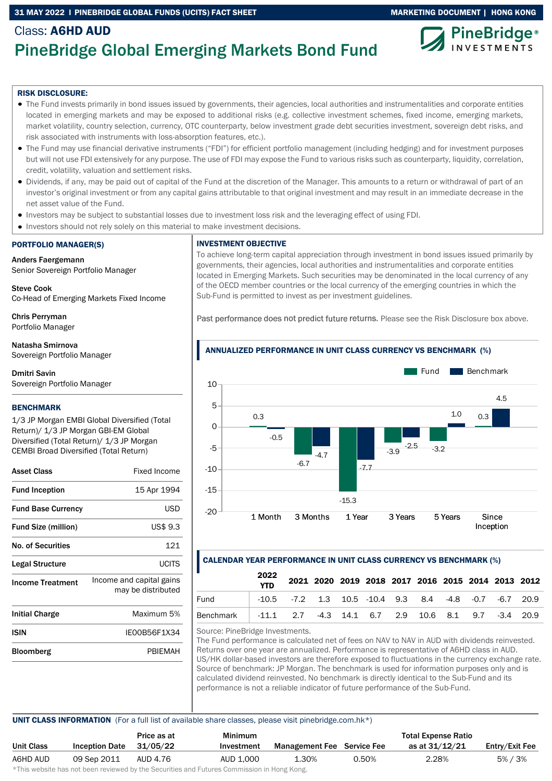## 31 MAY 2022 I PINEBRIDGE GLOBAL FUNDS (UCITS) FACT SHEET MARKETING DOCUMENT | HONG KONG



# Class: A6HD AUD PineBridge Global Emerging Markets Bond Fund

#### RISK DISCLOSURE:

- The Fund invests primarily in bond issues issued by governments, their agencies, local authorities and instrumentalities and corporate entities located in emerging markets and may be exposed to additional risks (e.g. collective investment schemes, fixed income, emerging markets, market volatility, country selection, currency, OTC counterparty, below investment grade debt securities investment, sovereign debt risks, and risk associated with instruments with loss-absorption features, etc.).
- The Fund may use financial derivative instruments ("FDI") for efficient portfolio management (including hedging) and for investment purposes but will not use FDI extensively for any purpose. The use of FDI may expose the Fund to various risks such as counterparty, liquidity, correlation, credit, volatility, valuation and settlement risks.
- Dividends, if any, may be paid out of capital of the Fund at the discretion of the Manager. This amounts to a return or withdrawal of part of an investor's original investment or from any capital gains attributable to that original investment and may result in an immediate decrease in the net asset value of the Fund.
- Investors may be subject to substantial losses due to investment loss risk and the leveraging effect of using FDI.
- Investors should not rely solely on this material to make investment decisions.

#### PORTFOLIO MANAGER(S)

Anders Faergemann Senior Sovereign Portfolio Manager

Steve Cook Co-Head of Emerging Markets Fixed Income

Chris Perryman Portfolio Manager

Natasha Smirnova Sovereign Portfolio Manager

Dmitri Savin Sovereign Portfolio Manager

#### **BENCHMARK**

1/3 JP Morgan EMBI Global Diversified (Total Return)/ 1/3 JP Morgan GBI-EM Global Diversified (Total Return)/ 1/3 JP Morgan CEMBI Broad Diversified (Total Return)

| <b>Asset Class</b>         | Fixed Income                                   |
|----------------------------|------------------------------------------------|
| <b>Fund Inception</b>      | 15 Apr 1994                                    |
| <b>Fund Base Currency</b>  | USD                                            |
| <b>Fund Size (million)</b> | US\$ 9.3                                       |
| <b>No. of Securities</b>   | 121                                            |
| Legal Structure            | UCITS                                          |
| <b>Income Treatment</b>    | Income and capital gains<br>may be distributed |
| <b>Initial Charge</b>      | Maximum 5%                                     |
| ISIN                       | IE00B56F1X34                                   |
| Bloomberg                  | PBIEMAH                                        |

# INVESTMENT OBJECTIVE

To achieve long-term capital appreciation through investment in bond issues issued primarily by governments, their agencies, local authorities and instrumentalities and corporate entities located in Emerging Markets. Such securities may be denominated in the local currency of any of the OECD member countries or the local currency of the emerging countries in which the Sub-Fund is permitted to invest as per investment guidelines.

Past performance does not predict future returns. Please see the Risk Disclosure box above.



### CALENDAR YEAR PERFORMANCE IN UNIT CLASS CURRENCY VS BENCHMARK (%)

|                                                              | 2022<br><b>YTD</b> |                                                                   |  |  |  |  | 2021 2020 2019 2018 2017 2016 2015 2014 2013 2012 |
|--------------------------------------------------------------|--------------------|-------------------------------------------------------------------|--|--|--|--|---------------------------------------------------|
| Fund                                                         |                    | $-10.5$ $-7.2$ 1.3 10.5 $-10.4$ 9.3 8.4 $-4.8$ $-0.7$ $-6.7$ 20.9 |  |  |  |  |                                                   |
| Benchmark -11.1 2.7 -4.3 14.1 6.7 2.9 10.6 8.1 9.7 -3.4 20.9 |                    |                                                                   |  |  |  |  |                                                   |

Source: PineBridge Investments.

The Fund performance is calculated net of fees on NAV to NAV in AUD with dividends reinvested. Returns over one year are annualized. Performance is representative of A6HD class in AUD. US/HK dollar-based investors are therefore exposed to fluctuations in the currency exchange rate. Source of benchmark: JP Morgan. The benchmark is used for information purposes only and is calculated dividend reinvested. No benchmark is directly identical to the Sub-Fund and its performance is not a reliable indicator of future performance of the Sub-Fund.

### UNIT CLASS INFORMATION (For a full list of available share classes, please visit pinebridge.com.hk\*)

|            |                       | Price as at | <b>Minimum</b>                                                                                                  |                                   |       | <b>Total Expense Ratio</b> |                |
|------------|-----------------------|-------------|-----------------------------------------------------------------------------------------------------------------|-----------------------------------|-------|----------------------------|----------------|
| Unit Class | <b>Inception Date</b> | 31/05/22    | Investment                                                                                                      | <b>Management Fee</b> Service Fee |       | as at 31/12/21             | Entry/Exit Fee |
| A6HD AUD   | 09 Sep 2011           | AUD 4.76    | AUD 1.000                                                                                                       | 1.30%                             | 0.50% | 2.28%                      | 5%/3%          |
|            |                       |             | di∓bio confectivo bele celebracio conteccedo bonda e Alexandidade e a al Fodocado Alexandrea fortiba e a Mexica |                                   |       |                            |                |

\*This website has not been reviewed by the Securities and Futures Commission in Hong Kong.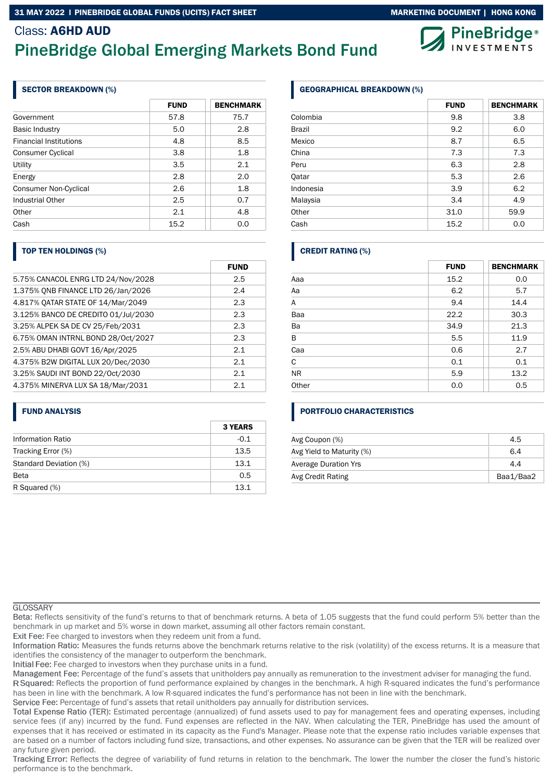#### 31 MAY 2022 I PINEBRIDGE GLOBAL FUNDS (UCITS) FACT SHEET MARKETING MARKETING DOCUMENT | HONG KONG

# Class: A6HD AUD PineBridge Global Emerging Markets Bond Fund

# SECTOR BREAKDOWN (%)

|                               | <b>FUND</b> | <b>BENCHMARK</b> |
|-------------------------------|-------------|------------------|
| Government                    | 57.8        | 75.7             |
| <b>Basic Industry</b>         | 5.0         | 2.8              |
| <b>Financial Institutions</b> | 4.8         | 8.5              |
| Consumer Cyclical             | 3.8         | 1.8              |
| Utility                       | 3.5         | 2.1              |
| Energy                        | 2.8         | 2.0              |
| <b>Consumer Non-Cyclical</b>  | 2.6         | 1.8              |
| Industrial Other              | 2.5         | 0.7              |
| Other                         | 2.1         | 4.8              |
| Cash                          | 15.2        | 0.0              |

### TOP TEN HOLDINGS (%)

|                                     | <b>FUND</b> |
|-------------------------------------|-------------|
| 5.75% CANACOL ENRG LTD 24/Nov/2028  | 2.5         |
| 1.375% ONB FINANCE LTD 26/Jan/2026  | 2.4         |
| 4.817% OATAR STATE OF 14/Mar/2049   | 2.3         |
| 3.125% BANCO DE CREDITO 01/Jul/2030 | 2.3         |
| 3.25% ALPEK SA DE CV 25/Feb/2031    | 2.3         |
| 6.75% OMAN INTRNL BOND 28/Oct/2027  | 2.3         |
| 2.5% ABU DHABI GOVT 16/Apr/2025     | 2.1         |
| 4.375% B2W DIGITAL LUX 20/Dec/2030  | 2.1         |
| 3.25% SAUDI INT BOND 22/Oct/2030    | 2.1         |
| 4.375% MINERVA LUX SA 18/Mar/2031   | 2.1         |

### FUND ANALYSIS

|                          | <b>3 YEARS</b> |
|--------------------------|----------------|
| <b>Information Ratio</b> | $-0.1$         |
| Tracking Error (%)       | 13.5           |
| Standard Deviation (%)   | 13.1           |
| <b>Beta</b>              | 0.5            |
| R Squared (%)            | 13.1           |

# GEOGRAPHICAL BREAKDOWN (%)

| <b>FUND</b> | <b>BENCHMARK</b> |
|-------------|------------------|
| 9.8         | 3.8              |
| 9.2         | 6.0              |
| 8.7         | 6.5              |
| 7.3         | 7.3              |
| 6.3         | 2.8              |
| 5.3         | 2.6              |
| 3.9         | 6.2              |
| 3.4         | 4.9              |
| 31.0        | 59.9             |
| 15.2        | 0.0              |
|             |                  |

# CREDIT RATING (%)

|           | <b>FUND</b> | <b>BENCHMARK</b> |
|-----------|-------------|------------------|
| Aaa       | 15.2        | 0.0              |
| Aa        | 6.2         | 5.7              |
| Α         | 9.4         | 14.4             |
| Baa       | 22.2        | 30.3             |
| Ba        | 34.9        | 21.3             |
| B         | 5.5         | 11.9             |
| Caa       | 0.6         | 2.7              |
| C         | 0.1         | 0.1              |
| <b>NR</b> | 5.9         | 13.2             |
| Other     | 0.0         | 0.5              |

# PORTFOLIO CHARACTERISTICS

| Avg Coupon (%)              | 4.5       |
|-----------------------------|-----------|
| Avg Yield to Maturity (%)   | 6.4       |
| <b>Average Duration Yrs</b> | 4.4       |
| Avg Credit Rating           | Baa1/Baa2 |

#### **GLOSSARY**

Reflects sensitivity of the fund's returns to that of benchmark returns. A beta of 1.05 suggests that the fund could perform 5% better than the benchmark in up market and 5% worse in down market, assuming all other factors remain constant.

Exit Fee: Fee charged to investors when they redeem unit from a fund.

Information Ratio: Measures the funds returns above the benchmark returns relative to the risk (volatility) of the excess returns. It is a measure that identifies the consistency of the manager to outperform the benchmark.

Initial Fee: Fee charged to investors when they purchase units in a fund.

Management Fee: Percentage of the fund's assets that unitholders pay annually as remuneration to the investment adviser for managing the fund.

R Squared: Reflects the proportion of fund performance explained by changes in the benchmark. A high R-squared indicates the fund's performance has been in line with the benchmark. A low R-squared indicates the fund's performance has not been in line with the benchmark.

Service Fee: Percentage of fund's assets that retail unitholders pay annually for distribution services.

Total Expense Ratio (TER): Estimated percentage (annualized) of fund assets used to pay for management fees and operating expenses, including service fees (if any) incurred by the fund. Fund expenses are reflected in the NAV. When calculating the TER, PineBridge has used the amount of expenses that it has received or estimated in its capacity as the Fund's Manager. Please note that the expense ratio includes variable expenses that are based on a number of factors including fund size, transactions, and other expenses. No assurance can be given that the TER will be realized over any future given period.

Tracking Error: Reflects the degree of variability of fund returns in relation to the benchmark. The lower the number the closer the fund's historic performance is to the benchmark.